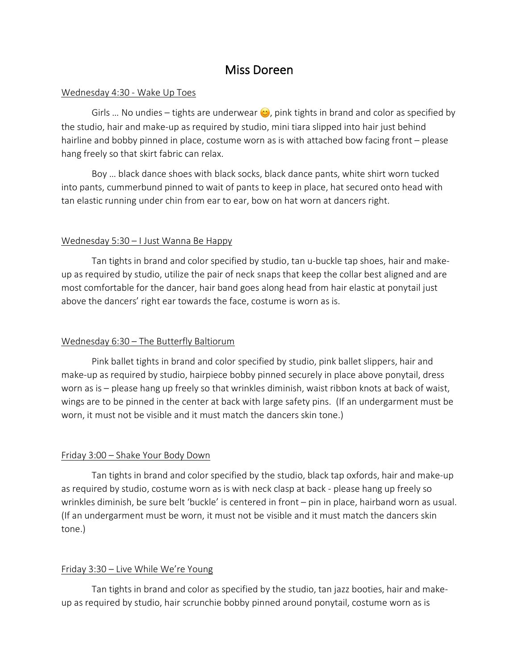## Miss Doreen

#### Wednesday 4:30 - Wake Up Toes

Girls ... No undies – tights are underwear  $\odot$ , pink tights in brand and color as specified by the studio, hair and make-up as required by studio, mini tiara slipped into hair just behind hairline and bobby pinned in place, costume worn as is with attached bow facing front – please hang freely so that skirt fabric can relax.

Boy … black dance shoes with black socks, black dance pants, white shirt worn tucked into pants, cummerbund pinned to wait of pants to keep in place, hat secured onto head with tan elastic running under chin from ear to ear, bow on hat worn at dancers right.

### Wednesday 5:30 – I Just Wanna Be Happy

Tan tights in brand and color specified by studio, tan u-buckle tap shoes, hair and makeup as required by studio, utilize the pair of neck snaps that keep the collar best aligned and are most comfortable for the dancer, hair band goes along head from hair elastic at ponytail just above the dancers' right ear towards the face, costume is worn as is.

### Wednesday 6:30 – The Butterfly Baltiorum

Pink ballet tights in brand and color specified by studio, pink ballet slippers, hair and make-up as required by studio, hairpiece bobby pinned securely in place above ponytail, dress worn as is – please hang up freely so that wrinkles diminish, waist ribbon knots at back of waist, wings are to be pinned in the center at back with large safety pins. (If an undergarment must be worn, it must not be visible and it must match the dancers skin tone.)

### Friday 3:00 – Shake Your Body Down

Tan tights in brand and color specified by the studio, black tap oxfords, hair and make-up as required by studio, costume worn as is with neck clasp at back - please hang up freely so wrinkles diminish, be sure belt 'buckle' is centered in front – pin in place, hairband worn as usual. (If an undergarment must be worn, it must not be visible and it must match the dancers skin tone.)

### Friday 3:30 – Live While We're Young

Tan tights in brand and color as specified by the studio, tan jazz booties, hair and makeup as required by studio, hair scrunchie bobby pinned around ponytail, costume worn as is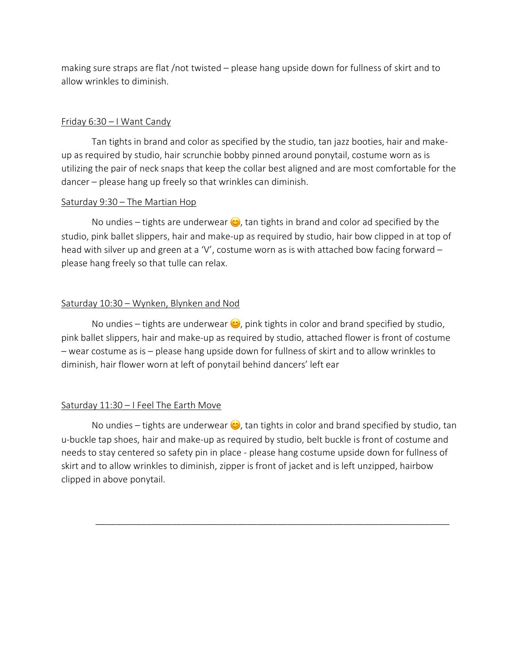making sure straps are flat /not twisted – please hang upside down for fullness of skirt and to allow wrinkles to diminish.

## Friday 6:30 – I Want Candy

Tan tights in brand and color as specified by the studio, tan jazz booties, hair and makeup as required by studio, hair scrunchie bobby pinned around ponytail, costume worn as is utilizing the pair of neck snaps that keep the collar best aligned and are most comfortable for the dancer – please hang up freely so that wrinkles can diminish.

### Saturday 9:30 – The Martian Hop

No undies – tights are underwear  $\bullet$ , tan tights in brand and color ad specified by the studio, pink ballet slippers, hair and make-up as required by studio, hair bow clipped in at top of head with silver up and green at a 'V', costume worn as is with attached bow facing forward  $$ please hang freely so that tulle can relax.

## Saturday 10:30 – Wynken, Blynken and Nod

No undies – tights are underwear  $\bullet$ , pink tights in color and brand specified by studio, pink ballet slippers, hair and make-up as required by studio, attached flower is front of costume – wear costume as is – please hang upside down for fullness of skirt and to allow wrinkles to diminish, hair flower worn at left of ponytail behind dancers' left ear

## Saturday 11:30 – I Feel The Earth Move

No undies – tights are underwear  $\odot$ , tan tights in color and brand specified by studio, tan u-buckle tap shoes, hair and make-up as required by studio, belt buckle is front of costume and needs to stay centered so safety pin in place - please hang costume upside down for fullness of skirt and to allow wrinkles to diminish, zipper is front of jacket and is left unzipped, hairbow clipped in above ponytail.

\_\_\_\_\_\_\_\_\_\_\_\_\_\_\_\_\_\_\_\_\_\_\_\_\_\_\_\_\_\_\_\_\_\_\_\_\_\_\_\_\_\_\_\_\_\_\_\_\_\_\_\_\_\_\_\_\_\_\_\_\_\_\_\_\_\_\_\_\_\_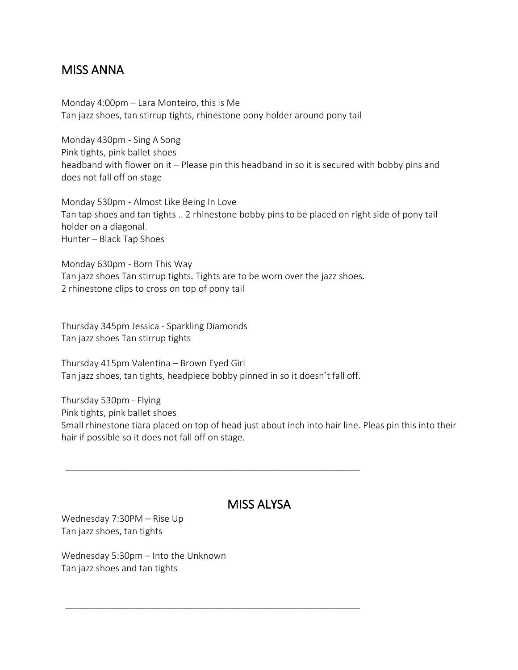## MISS ANNA

Monday 4:00pm – Lara Monteiro, this is Me Tan jazz shoes, tan stirrup tights, rhinestone pony holder around pony tail

Monday 430pm - Sing A Song Pink tights, pink ballet shoes headband with flower on it – Please pin this headband in so it is secured with bobby pins and does not fall off on stage

Monday 530pm - Almost Like Being In Love Tan tap shoes and tan tights .. 2 rhinestone bobby pins to be placed on right side of pony tail holder on a diagonal. Hunter – Black Tap Shoes

Monday 630pm - Born This Way Tan jazz shoes Tan stirrup tights. Tights are to be worn over the jazz shoes. 2 rhinestone clips to cross on top of pony tail

Thursday 345pm Jessica - Sparkling Diamonds Tan jazz shoes Tan stirrup tights

Thursday 415pm Valentina – Brown Eyed Girl Tan jazz shoes, tan tights, headpiece bobby pinned in so it doesn't fall off.

\_\_\_\_\_\_\_\_\_\_\_\_\_\_\_\_\_\_\_\_\_\_\_\_\_\_\_\_\_\_\_\_\_\_\_\_\_\_\_\_\_\_\_\_\_\_\_\_\_\_\_\_\_\_\_\_\_\_\_\_\_\_\_\_\_\_\_\_\_\_

\_\_\_\_\_\_\_\_\_\_\_\_\_\_\_\_\_\_\_\_\_\_\_\_\_\_\_\_\_\_\_\_\_\_\_\_\_\_\_\_\_\_\_\_\_\_\_\_\_\_\_\_\_\_\_\_\_\_\_\_\_\_\_\_\_\_\_\_\_\_

Thursday 530pm - Flying Pink tights, pink ballet shoes Small rhinestone tiara placed on top of head just about inch into hair line. Pleas pin this into their hair if possible so it does not fall off on stage.

## MISS ALYSA

Wednesday 7:30PM – Rise Up Tan jazz shoes, tan tights

Wednesday 5:30pm – Into the Unknown Tan jazz shoes and tan tights